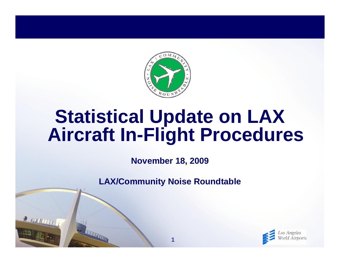

# **Statistical Update on LAX Aircraft In-Flight Procedures**

**November 18, 2009**

**LAX/Community Noise Roundtable**

**1**

R NUTTITTI

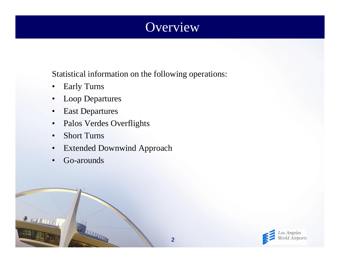## **Overview**

#### Statistical information on the following operations:

- $\bullet$ Early Turns
- $\bullet$ Loop Departures
- $\bullet$ East Departures
- $\bullet$ Palos Verdes Overflights

THE LIBRARY

- •Short Turns
- $\bullet$ Extended Downwind Approach
- •Go-arounds

 $\mathcal{L}$ 

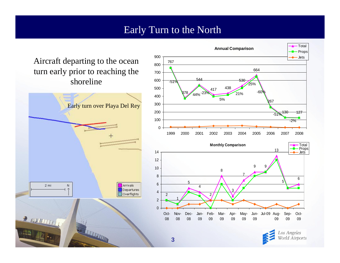#### Early Turn to the North

Aircraft departing to the ocean turn early prior to reaching the shoreline





Nov- <sup>08</sup> Dec- <sup>08</sup> Jan- <sup>09</sup> Feb- <sup>09</sup> Mar- <sup>09</sup> Apr- <sup>09</sup> May- <sup>09</sup> Jun- <sup>09</sup> Jul-09 Aug- <sup>09</sup> Sep- <sup>09</sup> Oct- <sup>09</sup>



Oct-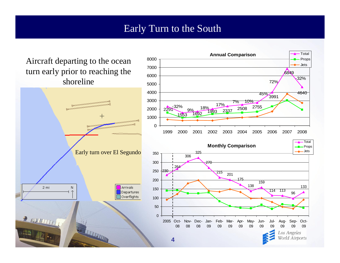#### Early Turn to the South

**Annual Comparison**

TotalProps

Aircraft departing to the ocean turn early prior to reaching the shoreline

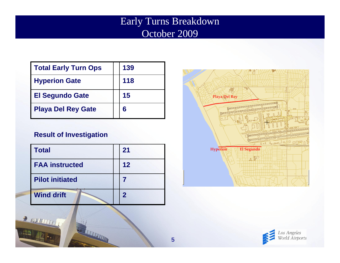#### Early Turns Breakdown October 2009

| <b>Total Early Turn Ops</b> | 139 |
|-----------------------------|-----|
| <b>Hyperion Gate</b>        | 118 |
| <b>El Segundo Gate</b>      | 15  |
| <b>Playa Del Rey Gate</b>   | 6   |

#### **Result of Investigation**

R MULTITTI

 $\|\cdot\|$ 

| Total                  | 21          |
|------------------------|-------------|
| <b>FAA instructed</b>  | 12          |
| <b>Pilot initiated</b> |             |
| <b>Wind drift</b>      | $\mathbf 2$ |

STATISTICS.



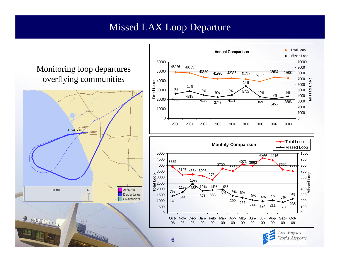#### Missed LAX Loop Departure

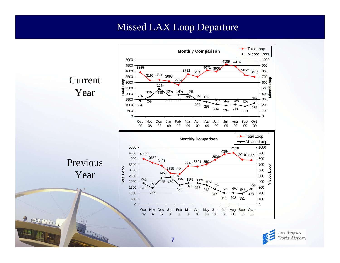#### Missed LAX Loop Departure



Los Angeles World Airports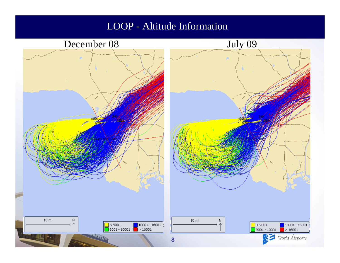#### LOOP - Altitude Information

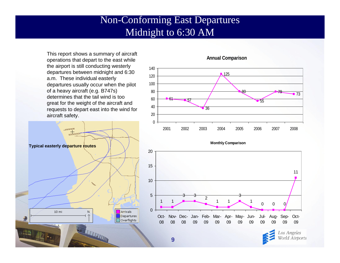#### Non-Conforming East Departures Midnight to 6:30 AM

This report shows a summary of aircraft operations that depart to the east while the airport is still conducting westerly departures between midnight and 6:30 a.m. These individual easterly departures usually occur when the pilot of a heavy aircraft (e.g. B747s) determines that the tail wind is too great for the weight of the aircraft and requests to depart east into the wind for aircraft safety.





#### **Annual Comparison**

**Monthly Comparison**



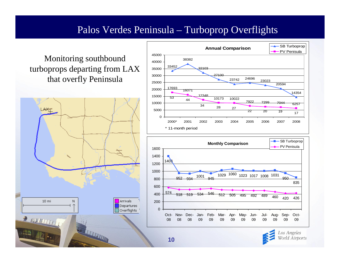#### Palos Verdes Peninsula – Turboprop Overflights

**10**

#### Monitoring southbound turboprops departing from LAX that overfly Peninsula





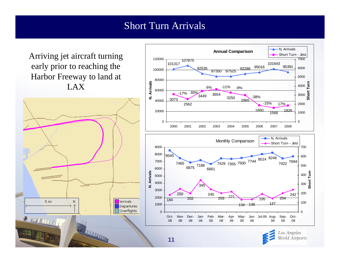#### Short Turn Arrivals

Arriving jet aircraft turning early prior to reaching the Harbor Freeway to land at LAX





![](_page_10_Picture_4.jpeg)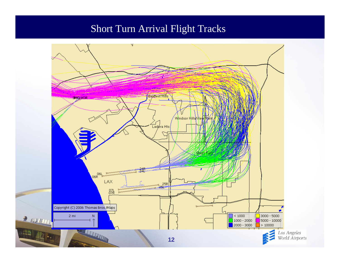#### Short Turn Arrival Flight Tracks

![](_page_11_Figure_1.jpeg)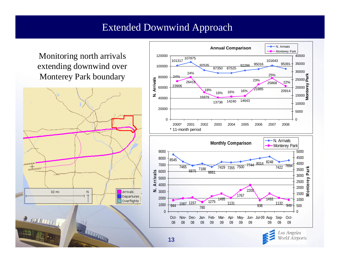#### Extended Downwind Approach

Monitoring north arrivals extending downwind over Monterey Park boundary

![](_page_12_Figure_2.jpeg)

![](_page_12_Figure_3.jpeg)

World Airports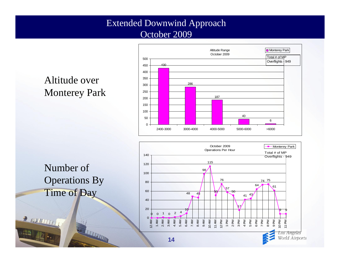#### Extended Downwind Approach October 2009

![](_page_13_Figure_1.jpeg)

### Altitude over Monterey Park

![](_page_13_Figure_3.jpeg)

**THE REAL PROPERTY AND** 

R MULTITTI

![](_page_13_Figure_4.jpeg)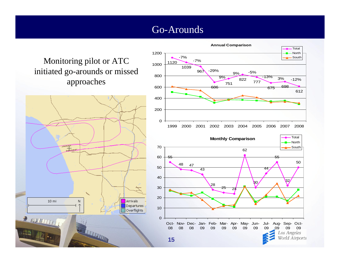#### Go-Arounds

#### Monitoring pilot or ATC initiated go-arounds or missed approaches

![](_page_14_Figure_2.jpeg)

![](_page_14_Figure_3.jpeg)